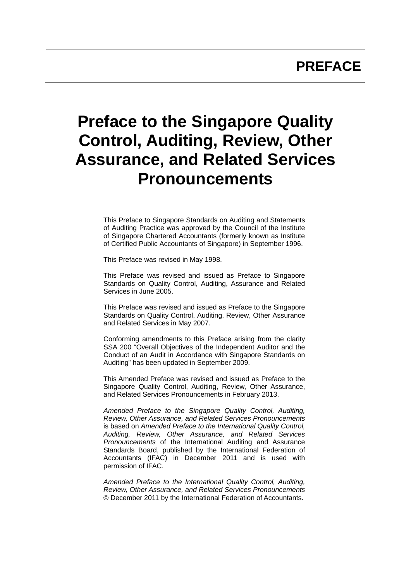## **PREFACE**

# **Preface to the Singapore Quality Control, Auditing, Review, Other Assurance, and Related Services Pronouncements**

This Preface to Singapore Standards on Auditing and Statements of Auditing Practice was approved by the Council of the Institute of Singapore Chartered Accountants (formerly known as Institute of Certified Public Accountants of Singapore) in September 1996.

This Preface was revised in May 1998.

This Preface was revised and issued as Preface to Singapore Standards on Quality Control, Auditing, Assurance and Related Services in June 2005.

This Preface was revised and issued as Preface to the Singapore Standards on Quality Control, Auditing, Review, Other Assurance and Related Services in May 2007.

Conforming amendments to this Preface arising from the clarity SSA 200 "Overall Objectives of the Independent Auditor and the Conduct of an Audit in Accordance with Singapore Standards on Auditing" has been updated in September 2009.

This Amended Preface was revised and issued as Preface to the Singapore Quality Control, Auditing, Review, Other Assurance, and Related Services Pronouncements in February 2013.

*Amended Preface to the Singapore Quality Control, Auditing, Review, Other Assurance, and Related Services Pronouncements* is based on *Amended Preface to the International Quality Control, Auditing, Review, Other Assurance, and Related Services Pronouncements* of the International Auditing and Assurance Standards Board, published by the International Federation of Accountants (IFAC) in December 2011 and is used with permission of IFAC.

*Amended Preface to the International Quality Control, Auditing, Review, Other Assurance, and Related Services Pronouncements* © December 2011 by the International Federation of Accountants.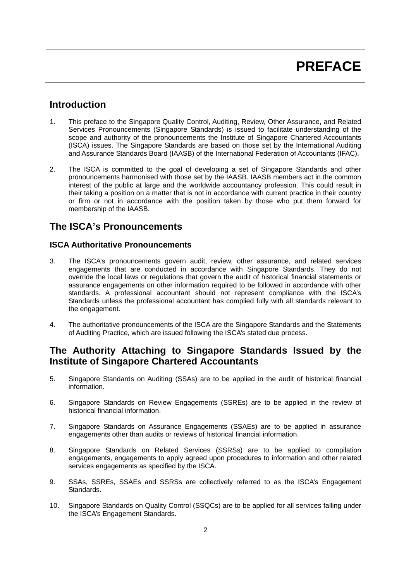## **Introduction**

- 1. This preface to the Singapore Quality Control, Auditing, Review, Other Assurance, and Related Services Pronouncements (Singapore Standards) is issued to facilitate understanding of the scope and authority of the pronouncements the Institute of Singapore Chartered Accountants (ISCA) issues. The Singapore Standards are based on those set by the International Auditing and Assurance Standards Board (IAASB) of the International Federation of Accountants (IFAC).
- 2. The ISCA is committed to the goal of developing a set of Singapore Standards and other pronouncements harmonised with those set by the IAASB. IAASB members act in the common interest of the public at large and the worldwide accountancy profession. This could result in their taking a position on a matter that is not in accordance with current practice in their country or firm or not in accordance with the position taken by those who put them forward for membership of the IAASB.

## **The ISCA's Pronouncements**

#### **ISCA Authoritative Pronouncements**

- 3. The ISCA's pronouncements govern audit, review, other assurance, and related services engagements that are conducted in accordance with Singapore Standards. They do not override the local laws or regulations that govern the audit of historical financial statements or assurance engagements on other information required to be followed in accordance with other standards. A professional accountant should not represent compliance with the ISCA's Standards unless the professional accountant has complied fully with all standards relevant to the engagement.
- 4. The authoritative pronouncements of the ISCA are the Singapore Standards and the Statements of Auditing Practice, which are issued following the ISCA's stated due process.

## **The Authority Attaching to Singapore Standards Issued by the Institute of Singapore Chartered Accountants**

- 5. Singapore Standards on Auditing (SSAs) are to be applied in the audit of historical financial information.
- 6. Singapore Standards on Review Engagements (SSREs) are to be applied in the review of historical financial information.
- 7. Singapore Standards on Assurance Engagements (SSAEs) are to be applied in assurance engagements other than audits or reviews of historical financial information.
- 8. Singapore Standards on Related Services (SSRSs) are to be applied to compilation engagements, engagements to apply agreed upon procedures to information and other related services engagements as specified by the ISCA.
- 9. SSAs, SSREs, SSAEs and SSRSs are collectively referred to as the ISCA's Engagement Standards.
- 10. Singapore Standards on Quality Control (SSQCs) are to be applied for all services falling under the ISCA's Engagement Standards.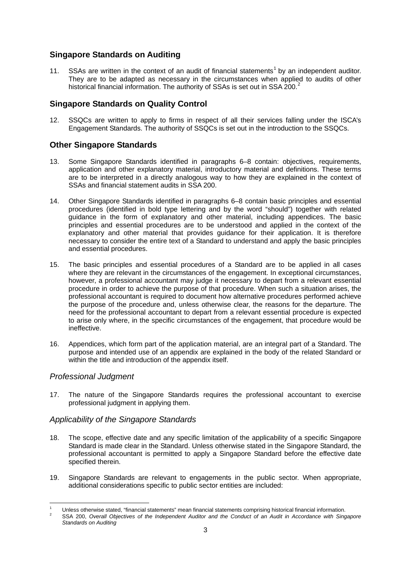#### **Singapore Standards on Auditing**

11. SSAs are written in the context of an audit of financial statements<sup>1</sup> by an independent auditor. They are to be adapted as necessary in the circumstances when applied to audits of other historical financial information. The authority of SSAs is set out in SSA 200.<sup>2</sup>

#### **Singapore Standards on Quality Control**

12. SSQCs are written to apply to firms in respect of all their services falling under the ISCA's Engagement Standards. The authority of SSQCs is set out in the introduction to the SSQCs.

#### **Other Singapore Standards**

- 13. Some Singapore Standards identified in paragraphs 6–8 contain: objectives, requirements, application and other explanatory material, introductory material and definitions. These terms are to be interpreted in a directly analogous way to how they are explained in the context of SSAs and financial statement audits in SSA 200.
- 14. Other Singapore Standards identified in paragraphs 6–8 contain basic principles and essential procedures (identified in bold type lettering and by the word "should") together with related guidance in the form of explanatory and other material, including appendices. The basic principles and essential procedures are to be understood and applied in the context of the explanatory and other material that provides guidance for their application. It is therefore necessary to consider the entire text of a Standard to understand and apply the basic principles and essential procedures.
- 15. The basic principles and essential procedures of a Standard are to be applied in all cases where they are relevant in the circumstances of the engagement. In exceptional circumstances, however, a professional accountant may judge it necessary to depart from a relevant essential procedure in order to achieve the purpose of that procedure. When such a situation arises, the professional accountant is required to document how alternative procedures performed achieve the purpose of the procedure and, unless otherwise clear, the reasons for the departure. The need for the professional accountant to depart from a relevant essential procedure is expected to arise only where, in the specific circumstances of the engagement, that procedure would be ineffective.
- 16. Appendices, which form part of the application material, are an integral part of a Standard. The purpose and intended use of an appendix are explained in the body of the related Standard or within the title and introduction of the appendix itself.

#### *Professional Judgment*

1

17. The nature of the Singapore Standards requires the professional accountant to exercise professional judgment in applying them.

#### *Applicability of the Singapore Standards*

- 18. The scope, effective date and any specific limitation of the applicability of a specific Singapore Standard is made clear in the Standard. Unless otherwise stated in the Singapore Standard, the professional accountant is permitted to apply a Singapore Standard before the effective date specified therein.
- 19. Singapore Standards are relevant to engagements in the public sector. When appropriate, additional considerations specific to public sector entities are included:

<sup>1</sup> Unless otherwise stated, "financial statements" mean financial statements comprising historical financial information. 2

SSA 200, *Overall Objectives of the Independent Auditor and the Conduct of an Audit in Accordance with Singapore Standards on Auditing*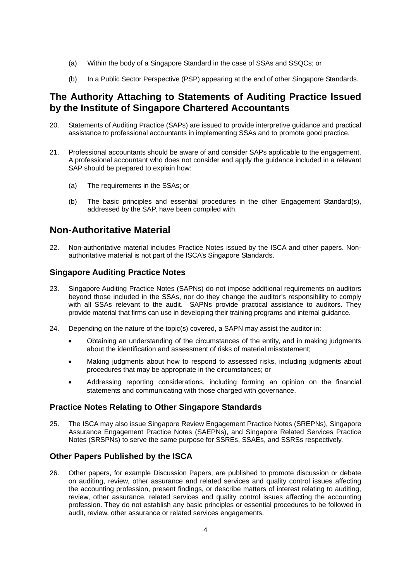- (a) Within the body of a Singapore Standard in the case of SSAs and SSQCs; or
- (b) In a Public Sector Perspective (PSP) appearing at the end of other Singapore Standards.

## **The Authority Attaching to Statements of Auditing Practice Issued by the Institute of Singapore Chartered Accountants**

- 20. Statements of Auditing Practice (SAPs) are issued to provide interpretive guidance and practical assistance to professional accountants in implementing SSAs and to promote good practice.
- 21. Professional accountants should be aware of and consider SAPs applicable to the engagement. A professional accountant who does not consider and apply the guidance included in a relevant SAP should be prepared to explain how:
	- (a) The requirements in the SSAs; or
	- (b) The basic principles and essential procedures in the other Engagement Standard(s), addressed by the SAP, have been compiled with.

## **Non-Authoritative Material**

22. Non-authoritative material includes Practice Notes issued by the ISCA and other papers. Nonauthoritative material is not part of the ISCA's Singapore Standards.

#### **Singapore Auditing Practice Notes**

- 23. Singapore Auditing Practice Notes (SAPNs) do not impose additional requirements on auditors beyond those included in the SSAs, nor do they change the auditor's responsibility to comply with all SSAs relevant to the audit. SAPNs provide practical assistance to auditors. They provide material that firms can use in developing their training programs and internal guidance.
- 24. Depending on the nature of the topic(s) covered, a SAPN may assist the auditor in:
	- Obtaining an understanding of the circumstances of the entity, and in making judgments about the identification and assessment of risks of material misstatement;
	- Making judgments about how to respond to assessed risks, including judgments about procedures that may be appropriate in the circumstances; or
	- Addressing reporting considerations, including forming an opinion on the financial statements and communicating with those charged with governance.

#### **Practice Notes Relating to Other Singapore Standards**

25. The ISCA may also issue Singapore Review Engagement Practice Notes (SREPNs), Singapore Assurance Engagement Practice Notes (SAEPNs), and Singapore Related Services Practice Notes (SRSPNs) to serve the same purpose for SSREs, SSAEs, and SSRSs respectively.

#### **Other Papers Published by the ISCA**

26. Other papers, for example Discussion Papers, are published to promote discussion or debate on auditing, review, other assurance and related services and quality control issues affecting the accounting profession, present findings, or describe matters of interest relating to auditing, review, other assurance, related services and quality control issues affecting the accounting profession. They do not establish any basic principles or essential procedures to be followed in audit, review, other assurance or related services engagements.